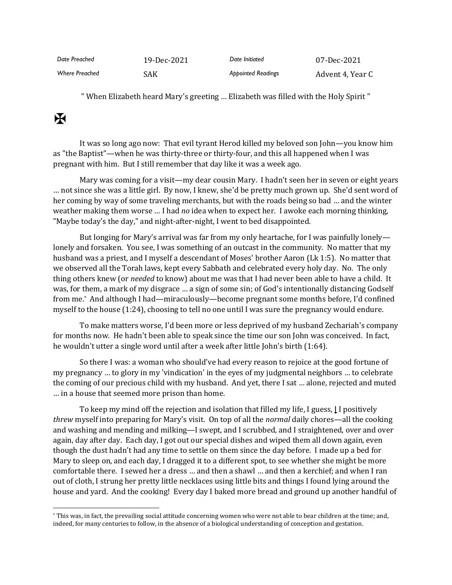| Date Preached         | 19-Dec-2021 | Date Initiated            | 07-Dec-2021      |
|-----------------------|-------------|---------------------------|------------------|
| <b>Where Preached</b> | SAK         | <b>Appointed Readings</b> | Advent 4, Year C |

" When Elizabeth heard Mary's greeting … Elizabeth was filled with the Holy Spirit "

## $\mathbf K$

It was so long ago now: That evil tyrant Herod killed my beloved son John—you know him as "the Baptist"—when he was thirty-three or thirty-four, and this all happened when I was pregnant with him. But I still remember that day like it was a week ago.

Mary was coming for a visit—my dear cousin Mary. I hadn't seen her in seven or eight years … not since she was a little girl. By now, I knew, she'd be pretty much grown up. She'd sent word of her coming by way of some traveling merchants, but with the roads being so bad … and the winter weather making them worse … I had *no* idea when to expect her. I awoke each morning thinking, "Maybe today's the day," and night-after-night, I went to bed disappointed.

But longing for Mary's arrival was far from my only heartache, for I was painfully lonely lonely and forsaken. You see, I was something of an outcast in the community. No matter that my husband was a priest, and I myself a descendant of Moses' brother Aaron (Lk 1:5). No matter that we observed all the Torah laws, kept every Sabbath and celebrated every holy day. No. The only thing others knew (or *needed* to know) about me was that I had never been able to have a child. It was, for them, a mark of my disgrace … a sign of some sin; of God's intentionally distancing Godself from me.\* And although I had—miraculously—become pregnant some months before, I'd confined myself to the house (1:24), choosing to tell no one until I was sure the pregnancy would endure.

To make matters worse, I'd been more or less deprived of my husband Zechariah's company for months now. He hadn't been able to speak since the time our son John was conceived. In fact, he wouldn't utter a single word until after a week after little John's birth (1:64).

So there I was: a woman who should've had every reason to rejoice at the good fortune of my pregnancy … to glory in my 'vindication' in the eyes of my judgmental neighbors … to celebrate the coming of our precious child with my husband. And yet, there I sat … alone, rejected and muted … in a house that seemed more prison than home.

To keep my mind off the rejection and isolation that filled my life, I guess, **|** I positively *threw* myself into preparing for Mary's visit. On top of all the *normal* daily chores—all the cooking and washing and mending and milking—I swept, and I scrubbed, and I straightened, over and over again, day after day. Each day, I got out our special dishes and wiped them all down again, even though the dust hadn't had any time to settle on them since the day before. I made up a bed for Mary to sleep on, and each day, I dragged it to a different spot, to see whether she might be more comfortable there. I sewed her a dress … and then a shawl … and then a kerchief; and when I ran out of cloth, I strung her pretty little necklaces using little bits and things I found lying around the house and yard. And the cooking! Every day I baked more bread and ground up another handful of

<sup>\*</sup> This was, in fact, the prevailing social attitude concerning women who were not able to bear children at the time; and, indeed, for many centuries to follow, in the absence of a biological understanding of conception and gestation.